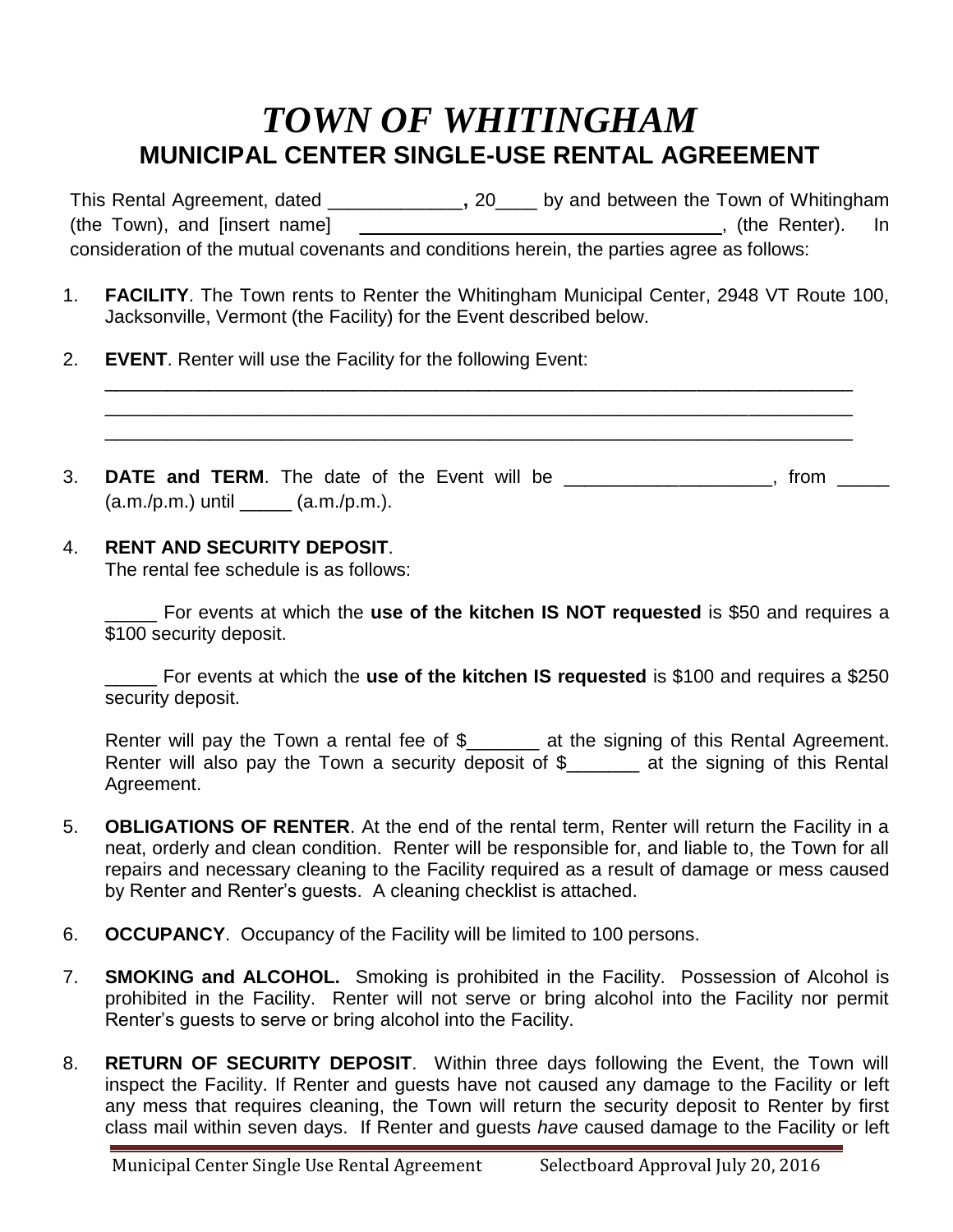# *TOWN OF WHITINGHAM* **MUNICIPAL CENTER SINGLE-USE RENTAL AGREEMENT**

This Rental Agreement, dated \_\_\_\_\_\_\_\_\_\_\_\_\_**,** 20\_\_\_\_ by and between the Town of Whitingham (the Town), and [insert name] \_\_\_\_\_\_\_\_\_\_\_\_\_\_\_\_\_\_\_\_\_\_\_\_\_\_\_\_\_\_\_\_\_\_ , (the Renter). In consideration of the mutual covenants and conditions herein, the parties agree as follows:

1. **FACILITY**. The Town rents to Renter the Whitingham Municipal Center, 2948 VT Route 100, Jacksonville, Vermont (the Facility) for the Event described below.

\_\_\_\_\_\_\_\_\_\_\_\_\_\_\_\_\_\_\_\_\_\_\_\_\_\_\_\_\_\_\_\_\_\_\_\_\_\_\_\_\_\_\_\_\_\_\_\_\_\_\_\_\_\_\_\_\_\_\_\_\_\_\_\_\_\_\_\_\_\_\_\_ \_\_\_\_\_\_\_\_\_\_\_\_\_\_\_\_\_\_\_\_\_\_\_\_\_\_\_\_\_\_\_\_\_\_\_\_\_\_\_\_\_\_\_\_\_\_\_\_\_\_\_\_\_\_\_\_\_\_\_\_\_\_\_\_\_\_\_\_\_\_\_\_ \_\_\_\_\_\_\_\_\_\_\_\_\_\_\_\_\_\_\_\_\_\_\_\_\_\_\_\_\_\_\_\_\_\_\_\_\_\_\_\_\_\_\_\_\_\_\_\_\_\_\_\_\_\_\_\_\_\_\_\_\_\_\_\_\_\_\_\_\_\_\_\_

- 2. **EVENT**. Renter will use the Facility for the following Event:
- 3. **DATE and TERM**. The date of the Event will be \_\_\_\_\_\_\_\_\_\_\_\_\_\_\_\_\_, from \_\_\_\_\_  $(a.m./p.m.)$  until \_\_\_\_\_\_  $(a.m./p.m.).$

### 4. **RENT AND SECURITY DEPOSIT**.

The rental fee schedule is as follows:

\_\_\_\_\_ For events at which the **use of the kitchen IS NOT requested** is \$50 and requires a \$100 security deposit.

\_\_\_\_\_ For events at which the **use of the kitchen IS requested** is \$100 and requires a \$250 security deposit.

Renter will pay the Town a rental fee of \$\_\_\_\_\_\_\_ at the signing of this Rental Agreement. Renter will also pay the Town a security deposit of \$ at the signing of this Rental Agreement.

- 5. **OBLIGATIONS OF RENTER**. At the end of the rental term, Renter will return the Facility in a neat, orderly and clean condition. Renter will be responsible for, and liable to, the Town for all repairs and necessary cleaning to the Facility required as a result of damage or mess caused by Renter and Renter's guests. A cleaning checklist is attached.
- 6. **OCCUPANCY**. Occupancy of the Facility will be limited to 100 persons.
- 7. **SMOKING and ALCOHOL.** Smoking is prohibited in the Facility. Possession of Alcohol is prohibited in the Facility. Renter will not serve or bring alcohol into the Facility nor permit Renter's guests to serve or bring alcohol into the Facility.
- 8. **RETURN OF SECURITY DEPOSIT**. Within three days following the Event, the Town will inspect the Facility. If Renter and guests have not caused any damage to the Facility or left any mess that requires cleaning, the Town will return the security deposit to Renter by first class mail within seven days. If Renter and guests *have* caused damage to the Facility or left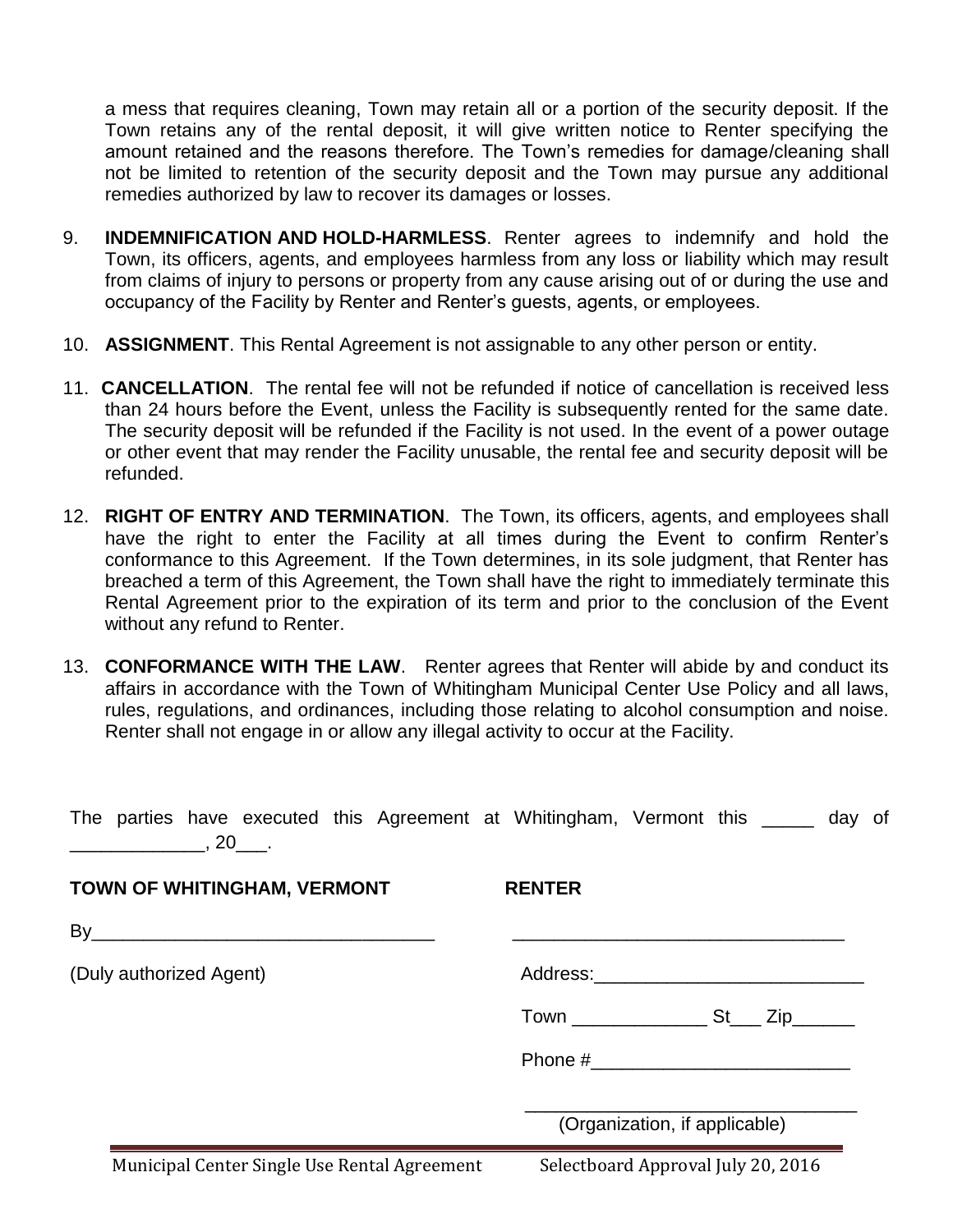a mess that requires cleaning, Town may retain all or a portion of the security deposit. If the Town retains any of the rental deposit, it will give written notice to Renter specifying the amount retained and the reasons therefore. The Town's remedies for damage/cleaning shall not be limited to retention of the security deposit and the Town may pursue any additional remedies authorized by law to recover its damages or losses.

- 9. **INDEMNIFICATION AND HOLD-HARMLESS**. Renter agrees to indemnify and hold the Town, its officers, agents, and employees harmless from any loss or liability which may result from claims of injury to persons or property from any cause arising out of or during the use and occupancy of the Facility by Renter and Renter's guests, agents, or employees.
- 10. **ASSIGNMENT**. This Rental Agreement is not assignable to any other person or entity.
- 11. **CANCELLATION**. The rental fee will not be refunded if notice of cancellation is received less than 24 hours before the Event, unless the Facility is subsequently rented for the same date. The security deposit will be refunded if the Facility is not used. In the event of a power outage or other event that may render the Facility unusable, the rental fee and security deposit will be refunded.
- 12. **RIGHT OF ENTRY AND TERMINATION**. The Town, its officers, agents, and employees shall have the right to enter the Facility at all times during the Event to confirm Renter's conformance to this Agreement. If the Town determines, in its sole judgment, that Renter has breached a term of this Agreement, the Town shall have the right to immediately terminate this Rental Agreement prior to the expiration of its term and prior to the conclusion of the Event without any refund to Renter.
- 13. **CONFORMANCE WITH THE LAW**. Renter agrees that Renter will abide by and conduct its affairs in accordance with the Town of Whitingham Municipal Center Use Policy and all laws, rules, regulations, and ordinances, including those relating to alcohol consumption and noise. Renter shall not engage in or allow any illegal activity to occur at the Facility.

| The parties have executed this Agreement at Whitingham, Vermont this _____ day of<br>$\overline{\phantom{a}}$ , 20 $\overline{\phantom{a}}$ . |                                                                                                                |
|-----------------------------------------------------------------------------------------------------------------------------------------------|----------------------------------------------------------------------------------------------------------------|
| TOWN OF WHITINGHAM, VERMONT                                                                                                                   | <b>RENTER</b>                                                                                                  |
| $\mathsf{By}$                                                                                                                                 |                                                                                                                |
| (Duly authorized Agent)                                                                                                                       |                                                                                                                |
|                                                                                                                                               |                                                                                                                |
|                                                                                                                                               | Phone # 2008 and 2008 and 2008 and 2008 and 2008 and 2008 and 2008 and 2008 and 2008 and 2008 and 2008 and 200 |
|                                                                                                                                               | (Organization, if applicable)                                                                                  |
| Municipal Center Single Use Rental Agreement                                                                                                  | Selectboard Approval July 20, 2016                                                                             |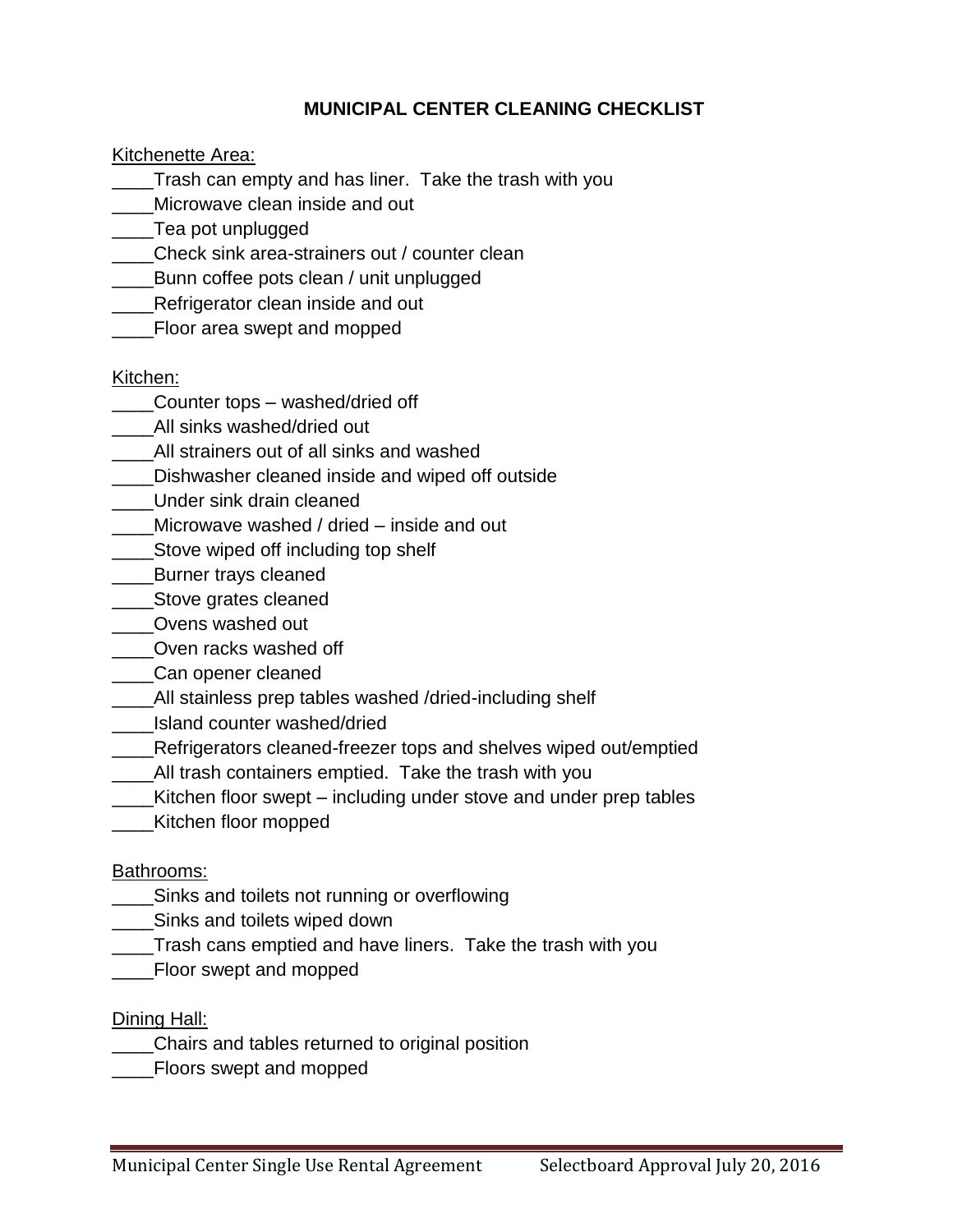## **MUNICIPAL CENTER CLEANING CHECKLIST**

Kitchenette Area:

- \_\_\_\_Trash can empty and has liner. Take the trash with you
- Microwave clean inside and out
- \_\_\_\_Tea pot unplugged
- \_\_\_\_Check sink area-strainers out / counter clean
- \_\_\_\_Bunn coffee pots clean / unit unplugged
- **\_\_\_\_Refrigerator clean inside and out**
- \_\_\_\_Floor area swept and mopped

### Kitchen:

- \_\_\_\_Counter tops washed/dried off
- All sinks washed/dried out
- \_\_\_\_All strainers out of all sinks and washed
- \_\_\_\_Dishwasher cleaned inside and wiped off outside
- \_\_\_\_Under sink drain cleaned
- Microwave washed / dried inside and out
- **EXECO Stove wiped off including top shelf**
- **\_\_\_Burner trays cleaned**
- Stove grates cleaned
- \_\_\_\_Ovens washed out
- \_\_\_\_Oven racks washed off
- \_\_\_\_Can opener cleaned
- \_\_\_\_All stainless prep tables washed /dried-including shelf
- \_\_\_\_Island counter washed/dried
- \_\_\_\_Refrigerators cleaned-freezer tops and shelves wiped out/emptied
- \_\_\_\_All trash containers emptied. Take the trash with you
- \_\_\_\_Kitchen floor swept including under stove and under prep tables
- \_\_\_\_Kitchen floor mopped

## Bathrooms:

- **EXECUTE:** Sinks and toilets not running or overflowing
- \_\_\_\_Sinks and toilets wiped down
- \_\_\_\_Trash cans emptied and have liners. Take the trash with you
- \_\_\_\_Floor swept and mopped

#### Dining Hall:

- \_\_\_\_Chairs and tables returned to original position
- \_\_\_\_Floors swept and mopped